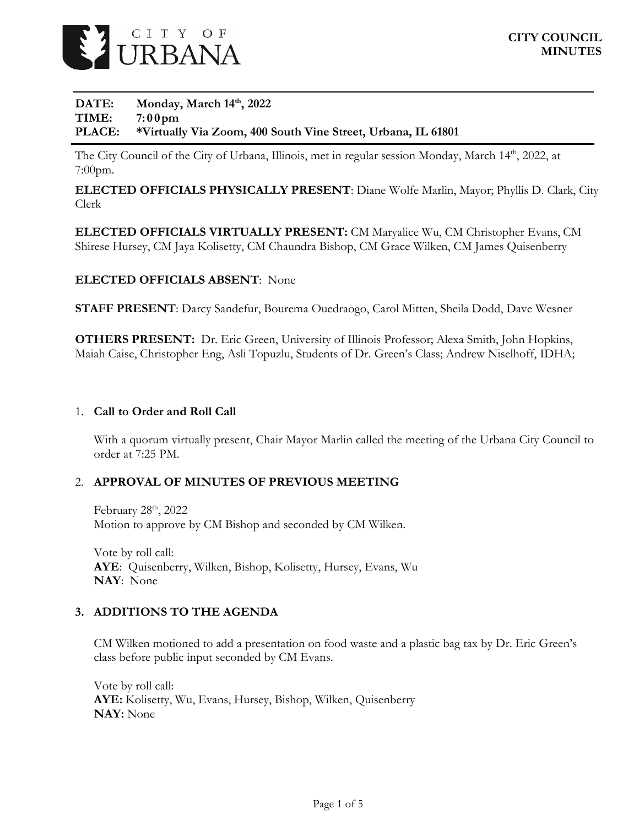

#### DATE: Monday, March 14<sup>th</sup>, 2022 **TIME: 7:00pm PLACE: \*Virtually Via Zoom, 400 South Vine Street, Urbana, IL 61801**

The City Council of the City of Urbana, Illinois, met in regular session Monday, March 14<sup>th</sup>, 2022, at 7:00pm.

**ELECTED OFFICIALS PHYSICALLY PRESENT**: Diane Wolfe Marlin, Mayor; Phyllis D. Clark, City Clerk

**ELECTED OFFICIALS VIRTUALLY PRESENT:** CM Maryalice Wu, CM Christopher Evans, CM Shirese Hursey, CM Jaya Kolisetty, CM Chaundra Bishop, CM Grace Wilken, CM James Quisenberry

#### **ELECTED OFFICIALS ABSENT**: None

**STAFF PRESENT**: Darcy Sandefur, Bourema Ouedraogo, Carol Mitten, Sheila Dodd, Dave Wesner

**OTHERS PRESENT:** Dr. Eric Green, University of Illinois Professor; Alexa Smith, John Hopkins, Maiah Caise, Christopher Eng, Asli Topuzlu, Students of Dr. Green's Class; Andrew Niselhoff, IDHA;

#### 1. **Call to Order and Roll Call**

With a quorum virtually present, Chair Mayor Marlin called the meeting of the Urbana City Council to order at 7:25 PM.

#### 2. **APPROVAL OF MINUTES OF PREVIOUS MEETING**

February 28<sup>th</sup>, 2022 Motion to approve by CM Bishop and seconded by CM Wilken.

Vote by roll call: **AYE**: Quisenberry, Wilken, Bishop, Kolisetty, Hursey, Evans, Wu **NAY**: None

#### **3. ADDITIONS TO THE AGENDA**

CM Wilken motioned to add a presentation on food waste and a plastic bag tax by Dr. Eric Green's class before public input seconded by CM Evans.

Vote by roll call: **AYE:** Kolisetty, Wu, Evans, Hursey, Bishop, Wilken, Quisenberry **NAY:** None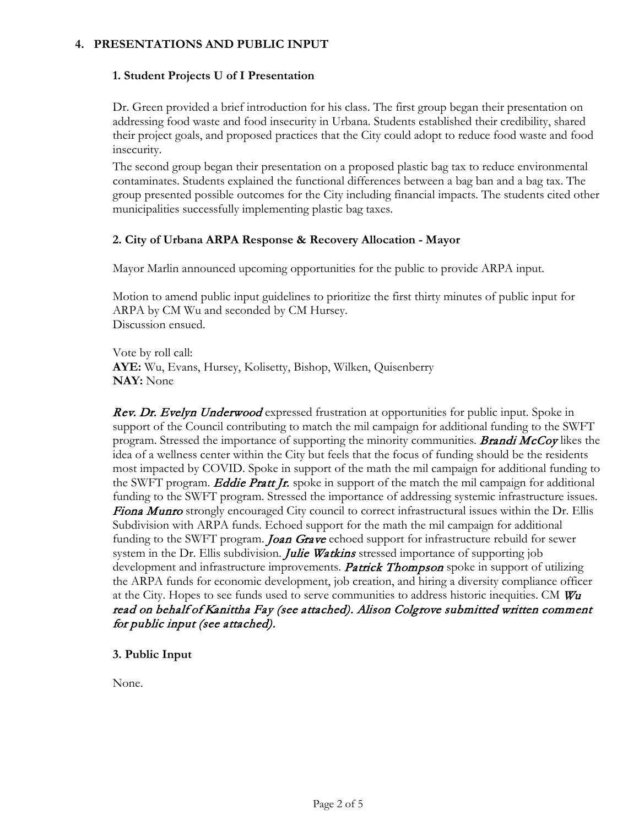## **4. PRESENTATIONS AND PUBLIC INPUT**

#### **1. Student Projects U of I Presentation**

Dr. Green provided a brief introduction for his class. The first group began their presentation on addressing food waste and food insecurity in Urbana. Students established their credibility, shared their project goals, and proposed practices that the City could adopt to reduce food waste and food insecurity.

The second group began their presentation on a proposed plastic bag tax to reduce environmental contaminates. Students explained the functional differences between a bag ban and a bag tax. The group presented possible outcomes for the City including financial impacts. The students cited other municipalities successfully implementing plastic bag taxes.

#### **2. City of Urbana ARPA Response & Recovery Allocation - Mayor**

Mayor Marlin announced upcoming opportunities for the public to provide ARPA input.

Motion to amend public input guidelines to prioritize the first thirty minutes of public input for ARPA by CM Wu and seconded by CM Hursey. Discussion ensued.

Vote by roll call: **AYE:** Wu, Evans, Hursey, Kolisetty, Bishop, Wilken, Quisenberry **NAY:** None

Rev. Dr. Evelyn Underwood expressed frustration at opportunities for public input. Spoke in support of the Council contributing to match the mil campaign for additional funding to the SWFT program. Stressed the importance of supporting the minority communities. **Brandi McCoy** likes the idea of a wellness center within the City but feels that the focus of funding should be the residents most impacted by COVID. Spoke in support of the math the mil campaign for additional funding to the SWFT program. **Eddie Pratt Jr.** spoke in support of the match the mil campaign for additional funding to the SWFT program. Stressed the importance of addressing systemic infrastructure issues. Fiona Munro strongly encouraged City council to correct infrastructural issues within the Dr. Ellis Subdivision with ARPA funds. Echoed support for the math the mil campaign for additional funding to the SWFT program. *Joan Grave* echoed support for infrastructure rebuild for sewer system in the Dr. Ellis subdivision. *Julie Watkins* stressed importance of supporting job development and infrastructure improvements. Patrick Thompson spoke in support of utilizing the ARPA funds for economic development, job creation, and hiring a diversity compliance officer at the City. Hopes to see funds used to serve communities to address historic inequities. CM  $W\!u$ read on behalf of Kanittha Fay (see attached). Alison Colgrove submitted written comment for public input (see attached).

#### **3. Public Input**

None.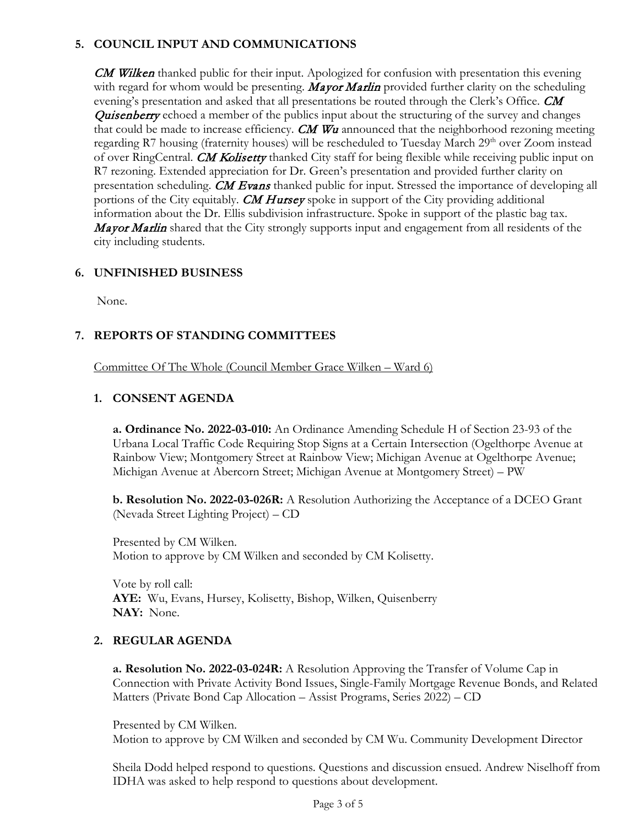# **5. COUNCIL INPUT AND COMMUNICATIONS**

**CM Wilken** thanked public for their input. Apologized for confusion with presentation this evening with regard for whom would be presenting. **Mayor Marlin** provided further clarity on the scheduling evening's presentation and asked that all presentations be routed through the Clerk's Office.  $\mathcal{CM}$ **Quisenberry** echoed a member of the publics input about the structuring of the survey and changes that could be made to increase efficiency.  $CM$  Wu announced that the neighborhood rezoning meeting regarding R7 housing (fraternity houses) will be rescheduled to Tuesday March  $29<sup>th</sup>$  over Zoom instead of over RingCentral. CM Kolisetty thanked City staff for being flexible while receiving public input on R7 rezoning. Extended appreciation for Dr. Green's presentation and provided further clarity on presentation scheduling. CM Evans thanked public for input. Stressed the importance of developing all portions of the City equitably. **CM Hursey** spoke in support of the City providing additional information about the Dr. Ellis subdivision infrastructure. Spoke in support of the plastic bag tax. **Mayor Marlin** shared that the City strongly supports input and engagement from all residents of the city including students.

## **6. UNFINISHED BUSINESS**

None.

# **7. REPORTS OF STANDING COMMITTEES**

Committee Of The Whole (Council Member Grace Wilken – Ward 6)

# **1. CONSENT AGENDA**

**a. Ordinance No. 2022-03-010:** An Ordinance Amending Schedule H of Section 23-93 of the Urbana Local Traffic Code Requiring Stop Signs at a Certain Intersection (Ogelthorpe Avenue at Rainbow View; Montgomery Street at Rainbow View; Michigan Avenue at Ogelthorpe Avenue; Michigan Avenue at Abercorn Street; Michigan Avenue at Montgomery Street) – PW

**b. Resolution No. 2022-03-026R:** A Resolution Authorizing the Acceptance of a DCEO Grant (Nevada Street Lighting Project) – CD

Presented by CM Wilken. Motion to approve by CM Wilken and seconded by CM Kolisetty.

Vote by roll call: **AYE:** Wu, Evans, Hursey, Kolisetty, Bishop, Wilken, Quisenberry **NAY:** None.

# **2. REGULAR AGENDA**

**a. Resolution No. 2022-03-024R:** A Resolution Approving the Transfer of Volume Cap in Connection with Private Activity Bond Issues, Single-Family Mortgage Revenue Bonds, and Related Matters (Private Bond Cap Allocation – Assist Programs, Series 2022) – CD

Presented by CM Wilken. Motion to approve by CM Wilken and seconded by CM Wu. Community Development Director

Sheila Dodd helped respond to questions. Questions and discussion ensued. Andrew Niselhoff from IDHA was asked to help respond to questions about development.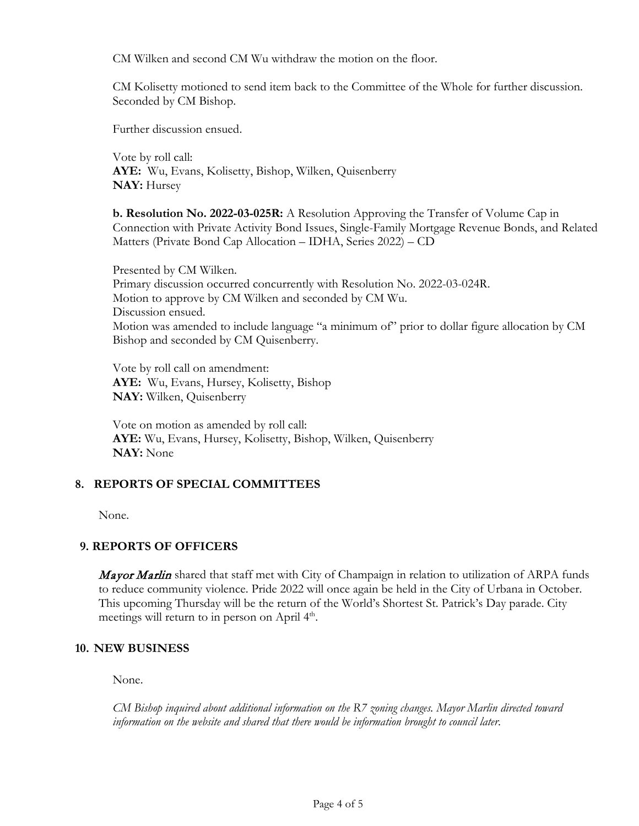CM Wilken and second CM Wu withdraw the motion on the floor.

CM Kolisetty motioned to send item back to the Committee of the Whole for further discussion. Seconded by CM Bishop.

Further discussion ensued.

Vote by roll call: **AYE:** Wu, Evans, Kolisetty, Bishop, Wilken, Quisenberry **NAY:** Hursey

**b. Resolution No. 2022-03-025R:** A Resolution Approving the Transfer of Volume Cap in Connection with Private Activity Bond Issues, Single-Family Mortgage Revenue Bonds, and Related Matters (Private Bond Cap Allocation – IDHA, Series 2022) – CD

Presented by CM Wilken. Primary discussion occurred concurrently with Resolution No. 2022-03-024R. Motion to approve by CM Wilken and seconded by CM Wu. Discussion ensued. Motion was amended to include language "a minimum of" prior to dollar figure allocation by CM Bishop and seconded by CM Quisenberry.

Vote by roll call on amendment: **AYE:** Wu, Evans, Hursey, Kolisetty, Bishop **NAY:** Wilken, Quisenberry

Vote on motion as amended by roll call: **AYE:** Wu, Evans, Hursey, Kolisetty, Bishop, Wilken, Quisenberry **NAY:** None

#### **8. REPORTS OF SPECIAL COMMITTEES**

None.

#### **9. REPORTS OF OFFICERS**

Mayor Marlin shared that staff met with City of Champaign in relation to utilization of ARPA funds to reduce community violence. Pride 2022 will once again be held in the City of Urbana in October. This upcoming Thursday will be the return of the World's Shortest St. Patrick's Day parade. City meetings will return to in person on April  $4<sup>th</sup>$ .

#### **10. NEW BUSINESS**

None.

*CM Bishop inquired about additional information on the R7 zoning changes. Mayor Marlin directed toward information on the website and shared that there would be information brought to council later*.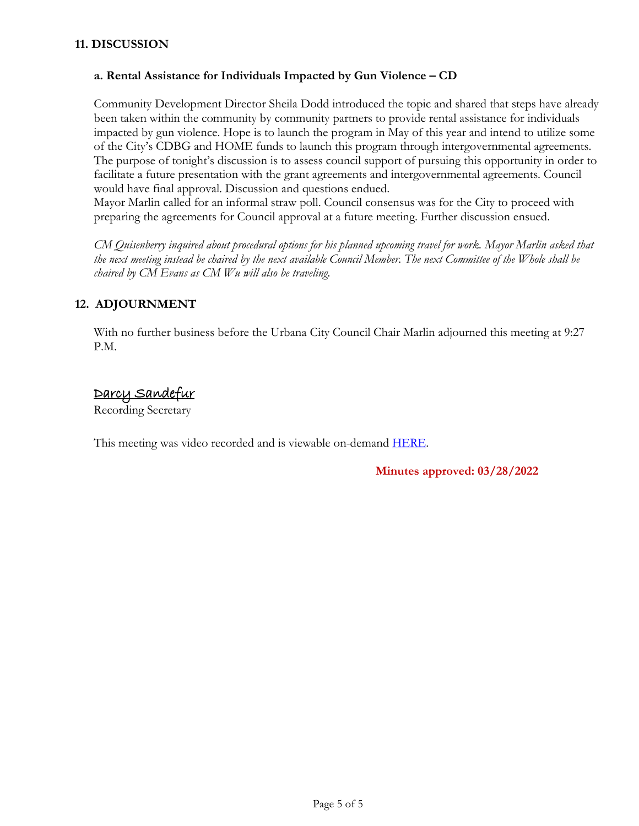#### **11. DISCUSSION**

#### **a. Rental Assistance for Individuals Impacted by Gun Violence – CD**

Community Development Director Sheila Dodd introduced the topic and shared that steps have already been taken within the community by community partners to provide rental assistance for individuals impacted by gun violence. Hope is to launch the program in May of this year and intend to utilize some of the City's CDBG and HOME funds to launch this program through intergovernmental agreements. The purpose of tonight's discussion is to assess council support of pursuing this opportunity in order to facilitate a future presentation with the grant agreements and intergovernmental agreements. Council would have final approval. Discussion and questions endued.

Mayor Marlin called for an informal straw poll. Council consensus was for the City to proceed with preparing the agreements for Council approval at a future meeting. Further discussion ensued.

*CM Quisenberry inquired about procedural options for his planned upcoming travel for work. Mayor Marlin asked that the next meeting instead be chaired by the next available Council Member. The next Committee of the Whole shall be chaired by CM Evans as CM Wu will also be traveling.* 

# **12. ADJOURNMENT**

With no further business before the Urbana City Council Chair Marlin adjourned this meeting at 9:27 P.M.

# Darcy Sandefur

Recording Secretary

This meeting was video recorded and is viewable on-demand [HERE.](https://www.city.urbana.il.us/Scripts/CouncilVideo/Video.asp?v=/_Video/City_Council/2022/20220314/01._Start_of_Meeting.mp4)

**Minutes approved: 03/28/2022**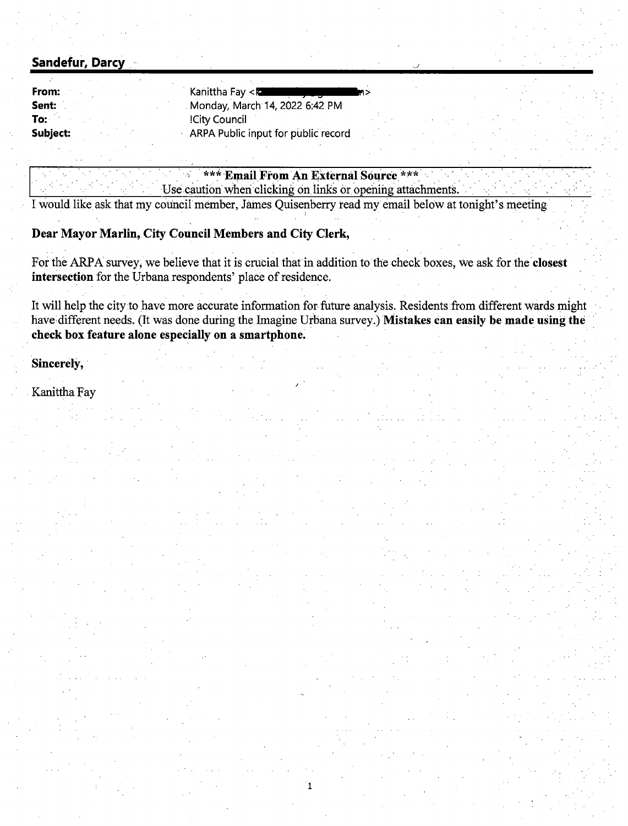# **Sandefur, Darcy** .

| From:    |  |
|----------|--|
| Sent: ·  |  |
| To: ·    |  |
| Subject: |  |

Kanittha Fay <kanittha . Monday, March 14, 2022 6:42 PM !City Council ARPA Public input for public record

\*\*\* **Email From An External Source \*\*\*** 

Use caution when clicking on links or opening attachments. I would like ask that my council member, James Quisenberry read my email below at tonight's meeting

#### **Dear Mayor Marlin, City Council Members and City Clerk,**

For the ARPA survey, we believe that it is crucial that in addition to the check boxes, we ask for the **closest intersection** for the Urbana respondents' place of residence.

. . It will help the city to have more accurate information for future analysis. Residents from different wards might have different needs. (It was done during the Imagine Urbana survey.) **Mistakes can easily be made using the check box feature alone especially on a smartphone.** . .

1

#### Sincerely,

#### Kanittha Fay